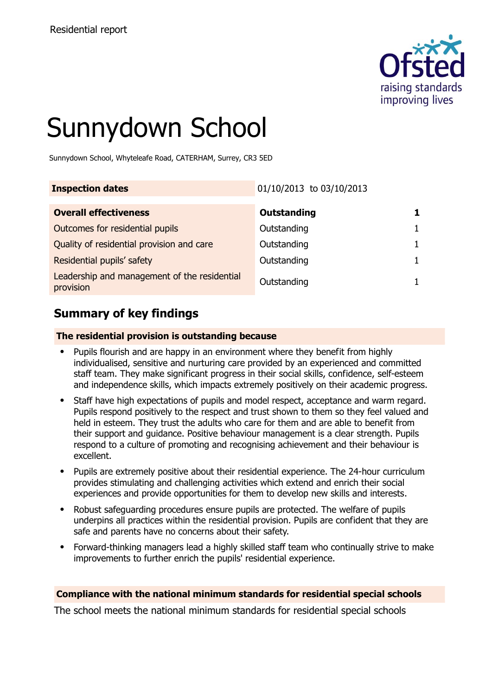

# Sunnydown School

Sunnydown School, Whyteleafe Road, CATERHAM, Surrey, CR3 5ED

| <b>Inspection dates</b>                                   | 01/10/2013 to 03/10/2013 |  |
|-----------------------------------------------------------|--------------------------|--|
| <b>Overall effectiveness</b>                              | <b>Outstanding</b>       |  |
| Outcomes for residential pupils                           | Outstanding              |  |
| Quality of residential provision and care                 | Outstanding              |  |
| Residential pupils' safety                                | Outstanding              |  |
| Leadership and management of the residential<br>provision | Outstanding              |  |

# **Summary of key findings**

### **The residential provision is outstanding because**

- Pupils flourish and are happy in an environment where they benefit from highly individualised, sensitive and nurturing care provided by an experienced and committed staff team. They make significant progress in their social skills, confidence, self-esteem and independence skills, which impacts extremely positively on their academic progress.
- Staff have high expectations of pupils and model respect, acceptance and warm regard. Pupils respond positively to the respect and trust shown to them so they feel valued and held in esteem. They trust the adults who care for them and are able to benefit from their support and guidance. Positive behaviour management is a clear strength. Pupils respond to a culture of promoting and recognising achievement and their behaviour is excellent.
- Pupils are extremely positive about their residential experience. The 24-hour curriculum provides stimulating and challenging activities which extend and enrich their social experiences and provide opportunities for them to develop new skills and interests.
- Robust safeguarding procedures ensure pupils are protected. The welfare of pupils underpins all practices within the residential provision. Pupils are confident that they are safe and parents have no concerns about their safety.
- Forward-thinking managers lead a highly skilled staff team who continually strive to make improvements to further enrich the pupils' residential experience.

### **Compliance with the national minimum standards for residential special schools**

The school meets the national minimum standards for residential special schools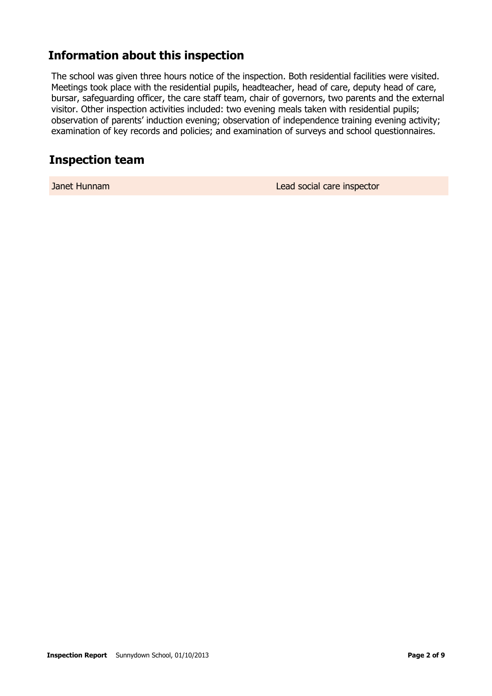# **Information about this inspection**

The school was given three hours notice of the inspection. Both residential facilities were visited. Meetings took place with the residential pupils, headteacher, head of care, deputy head of care, bursar, safeguarding officer, the care staff team, chair of governors, two parents and the external visitor. Other inspection activities included: two evening meals taken with residential pupils; observation of parents' induction evening; observation of independence training evening activity; examination of key records and policies; and examination of surveys and school questionnaires.

## **Inspection team**

Janet Hunnam Lead social care inspector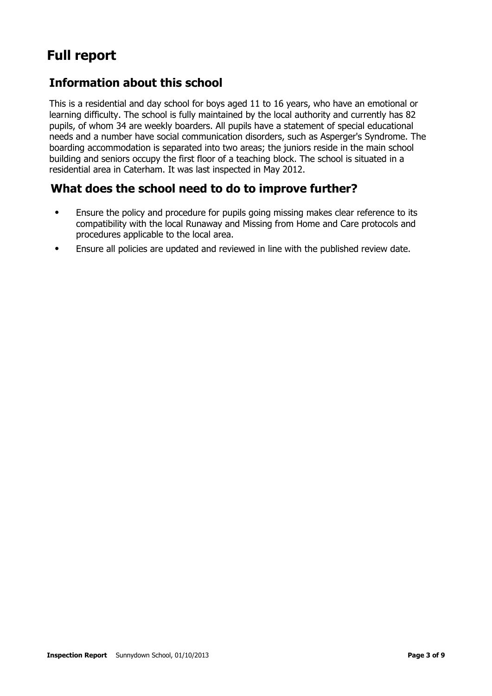# **Full report**

# **Information about this school**

This is a residential and day school for boys aged 11 to 16 years, who have an emotional or learning difficulty. The school is fully maintained by the local authority and currently has 82 pupils, of whom 34 are weekly boarders. All pupils have a statement of special educational needs and a number have social communication disorders, such as Asperger's Syndrome. The boarding accommodation is separated into two areas; the juniors reside in the main school building and seniors occupy the first floor of a teaching block. The school is situated in a residential area in Caterham. It was last inspected in May 2012.

# **What does the school need to do to improve further?**

- Ensure the policy and procedure for pupils going missing makes clear reference to its compatibility with the local Runaway and Missing from Home and Care protocols and procedures applicable to the local area.
- Ensure all policies are updated and reviewed in line with the published review date.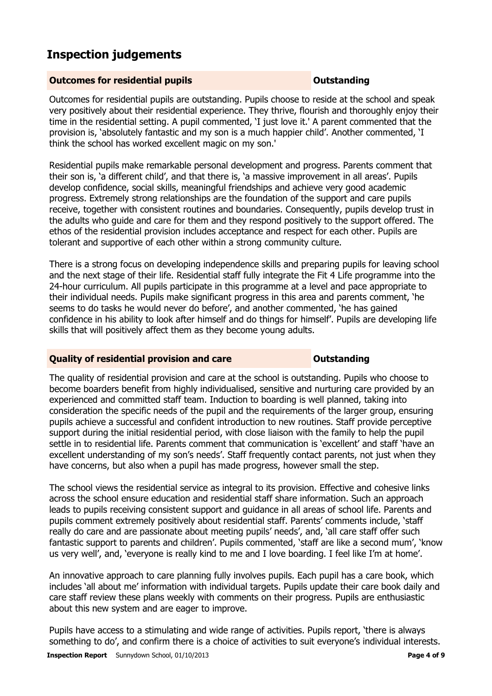# **Inspection judgements**

### **Outcomes for residential pupils Outstanding**

Outcomes for residential pupils are outstanding. Pupils choose to reside at the school and speak very positively about their residential experience. They thrive, flourish and thoroughly enjoy their time in the residential setting. A pupil commented, 'I just love it.' A parent commented that the provision is, 'absolutely fantastic and my son is a much happier child'. Another commented, 'I think the school has worked excellent magic on my son.'

Residential pupils make remarkable personal development and progress. Parents comment that their son is, 'a different child', and that there is, 'a massive improvement in all areas'. Pupils develop confidence, social skills, meaningful friendships and achieve very good academic progress. Extremely strong relationships are the foundation of the support and care pupils receive, together with consistent routines and boundaries. Consequently, pupils develop trust in the adults who guide and care for them and they respond positively to the support offered. The ethos of the residential provision includes acceptance and respect for each other. Pupils are tolerant and supportive of each other within a strong community culture.

There is a strong focus on developing independence skills and preparing pupils for leaving school and the next stage of their life. Residential staff fully integrate the Fit 4 Life programme into the 24-hour curriculum. All pupils participate in this programme at a level and pace appropriate to their individual needs. Pupils make significant progress in this area and parents comment, 'he seems to do tasks he would never do before', and another commented, 'he has gained confidence in his ability to look after himself and do things for himself'. Pupils are developing life skills that will positively affect them as they become young adults.

### **Quality of residential provision and care Outstanding**

The quality of residential provision and care at the school is outstanding. Pupils who choose to become boarders benefit from highly individualised, sensitive and nurturing care provided by an experienced and committed staff team. Induction to boarding is well planned, taking into consideration the specific needs of the pupil and the requirements of the larger group, ensuring pupils achieve a successful and confident introduction to new routines. Staff provide perceptive support during the initial residential period, with close liaison with the family to help the pupil settle in to residential life. Parents comment that communication is 'excellent' and staff 'have an excellent understanding of my son's needs'. Staff frequently contact parents, not just when they have concerns, but also when a pupil has made progress, however small the step.

The school views the residential service as integral to its provision. Effective and cohesive links across the school ensure education and residential staff share information. Such an approach leads to pupils receiving consistent support and guidance in all areas of school life. Parents and pupils comment extremely positively about residential staff. Parents' comments include, 'staff really do care and are passionate about meeting pupils' needs', and, 'all care staff offer such fantastic support to parents and children'. Pupils commented, 'staff are like a second mum', 'know us very well', and, 'everyone is really kind to me and I love boarding. I feel like I'm at home'.

An innovative approach to care planning fully involves pupils. Each pupil has a care book, which includes 'all about me' information with individual targets. Pupils update their care book daily and care staff review these plans weekly with comments on their progress. Pupils are enthusiastic about this new system and are eager to improve.

Pupils have access to a stimulating and wide range of activities. Pupils report, 'there is always something to do', and confirm there is a choice of activities to suit everyone's individual interests.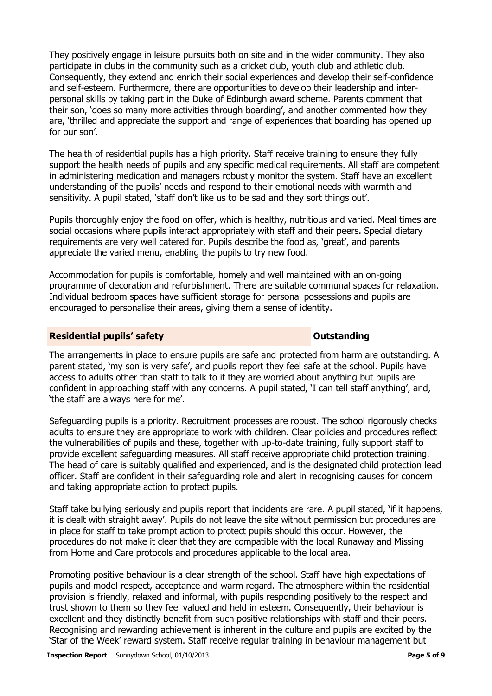They positively engage in leisure pursuits both on site and in the wider community. They also participate in clubs in the community such as a cricket club, youth club and athletic club. Consequently, they extend and enrich their social experiences and develop their self-confidence and self-esteem. Furthermore, there are opportunities to develop their leadership and interpersonal skills by taking part in the Duke of Edinburgh award scheme. Parents comment that their son, 'does so many more activities through boarding', and another commented how they are, 'thrilled and appreciate the support and range of experiences that boarding has opened up for our son'.

The health of residential pupils has a high priority. Staff receive training to ensure they fully support the health needs of pupils and any specific medical requirements. All staff are competent in administering medication and managers robustly monitor the system. Staff have an excellent understanding of the pupils' needs and respond to their emotional needs with warmth and sensitivity. A pupil stated, 'staff don't like us to be sad and they sort things out'.

Pupils thoroughly enjoy the food on offer, which is healthy, nutritious and varied. Meal times are social occasions where pupils interact appropriately with staff and their peers. Special dietary requirements are very well catered for. Pupils describe the food as, 'great', and parents appreciate the varied menu, enabling the pupils to try new food.

Accommodation for pupils is comfortable, homely and well maintained with an on-going programme of decoration and refurbishment. There are suitable communal spaces for relaxation. Individual bedroom spaces have sufficient storage for personal possessions and pupils are encouraged to personalise their areas, giving them a sense of identity.

### **Residential pupils' safety CONSTANDING CONSTANDING CONSTANDING CONSTANDING CONSTANDING CONSTANDING CONSTANDING CONSTANDING CONSTANDING CONSTANDING CONSTANDING CONSTANDING CONSTANDING CONSTANDING CONSTANDING CONSTANDING**

The arrangements in place to ensure pupils are safe and protected from harm are outstanding. A parent stated, 'my son is very safe', and pupils report they feel safe at the school. Pupils have access to adults other than staff to talk to if they are worried about anything but pupils are confident in approaching staff with any concerns. A pupil stated, 'I can tell staff anything', and, 'the staff are always here for me'.

Safeguarding pupils is a priority. Recruitment processes are robust. The school rigorously checks adults to ensure they are appropriate to work with children. Clear policies and procedures reflect the vulnerabilities of pupils and these, together with up-to-date training, fully support staff to provide excellent safeguarding measures. All staff receive appropriate child protection training. The head of care is suitably qualified and experienced, and is the designated child protection lead officer. Staff are confident in their safeguarding role and alert in recognising causes for concern and taking appropriate action to protect pupils.

Staff take bullying seriously and pupils report that incidents are rare. A pupil stated, 'if it happens, it is dealt with straight away'. Pupils do not leave the site without permission but procedures are in place for staff to take prompt action to protect pupils should this occur. However, the procedures do not make it clear that they are compatible with the local Runaway and Missing from Home and Care protocols and procedures applicable to the local area.

Promoting positive behaviour is a clear strength of the school. Staff have high expectations of pupils and model respect, acceptance and warm regard. The atmosphere within the residential provision is friendly, relaxed and informal, with pupils responding positively to the respect and trust shown to them so they feel valued and held in esteem. Consequently, their behaviour is excellent and they distinctly benefit from such positive relationships with staff and their peers. Recognising and rewarding achievement is inherent in the culture and pupils are excited by the 'Star of the Week' reward system. Staff receive regular training in behaviour management but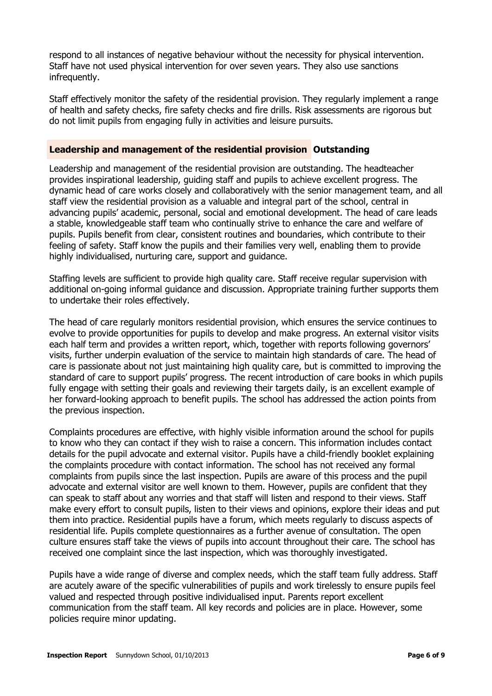respond to all instances of negative behaviour without the necessity for physical intervention. Staff have not used physical intervention for over seven years. They also use sanctions infrequently.

Staff effectively monitor the safety of the residential provision. They regularly implement a range of health and safety checks, fire safety checks and fire drills. Risk assessments are rigorous but do not limit pupils from engaging fully in activities and leisure pursuits.

#### **Leadership and management of the residential provision Outstanding**

Leadership and management of the residential provision are outstanding. The headteacher provides inspirational leadership, guiding staff and pupils to achieve excellent progress. The dynamic head of care works closely and collaboratively with the senior management team, and all staff view the residential provision as a valuable and integral part of the school, central in advancing pupils' academic, personal, social and emotional development. The head of care leads a stable, knowledgeable staff team who continually strive to enhance the care and welfare of pupils. Pupils benefit from clear, consistent routines and boundaries, which contribute to their feeling of safety. Staff know the pupils and their families very well, enabling them to provide highly individualised, nurturing care, support and guidance.

Staffing levels are sufficient to provide high quality care. Staff receive regular supervision with additional on-going informal guidance and discussion. Appropriate training further supports them to undertake their roles effectively.

The head of care regularly monitors residential provision, which ensures the service continues to evolve to provide opportunities for pupils to develop and make progress. An external visitor visits each half term and provides a written report, which, together with reports following governors' visits, further underpin evaluation of the service to maintain high standards of care. The head of care is passionate about not just maintaining high quality care, but is committed to improving the standard of care to support pupils' progress. The recent introduction of care books in which pupils fully engage with setting their goals and reviewing their targets daily, is an excellent example of her forward-looking approach to benefit pupils. The school has addressed the action points from the previous inspection.

Complaints procedures are effective, with highly visible information around the school for pupils to know who they can contact if they wish to raise a concern. This information includes contact details for the pupil advocate and external visitor. Pupils have a child-friendly booklet explaining the complaints procedure with contact information. The school has not received any formal complaints from pupils since the last inspection. Pupils are aware of this process and the pupil advocate and external visitor are well known to them. However, pupils are confident that they can speak to staff about any worries and that staff will listen and respond to their views. Staff make every effort to consult pupils, listen to their views and opinions, explore their ideas and put them into practice. Residential pupils have a forum, which meets regularly to discuss aspects of residential life. Pupils complete questionnaires as a further avenue of consultation. The open culture ensures staff take the views of pupils into account throughout their care. The school has received one complaint since the last inspection, which was thoroughly investigated.

Pupils have a wide range of diverse and complex needs, which the staff team fully address. Staff are acutely aware of the specific vulnerabilities of pupils and work tirelessly to ensure pupils feel valued and respected through positive individualised input. Parents report excellent communication from the staff team. All key records and policies are in place. However, some policies require minor updating.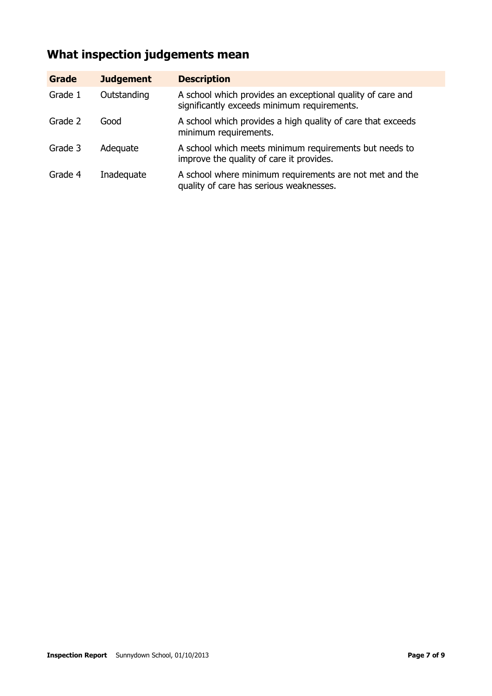# **What inspection judgements mean**

| <b>Grade</b> | <b>Judgement</b> | <b>Description</b>                                                                                        |
|--------------|------------------|-----------------------------------------------------------------------------------------------------------|
| Grade 1      | Outstanding      | A school which provides an exceptional quality of care and<br>significantly exceeds minimum requirements. |
| Grade 2      | Good             | A school which provides a high quality of care that exceeds<br>minimum requirements.                      |
| Grade 3      | Adequate         | A school which meets minimum requirements but needs to<br>improve the quality of care it provides.        |
| Grade 4      | Inadequate       | A school where minimum requirements are not met and the<br>quality of care has serious weaknesses.        |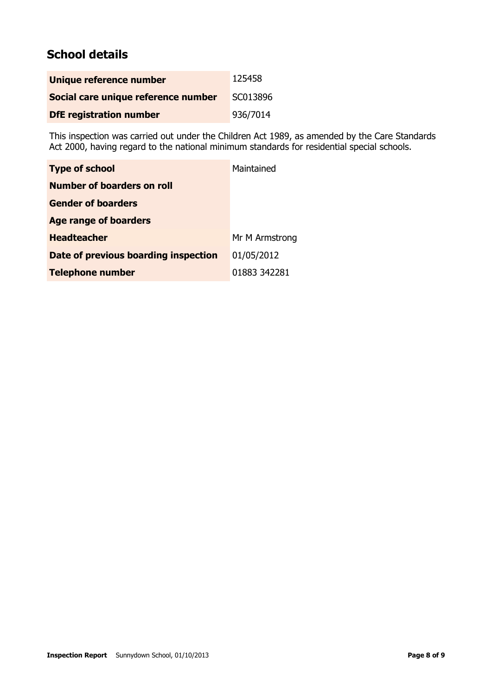# **School details**

| Unique reference number             | 125458   |
|-------------------------------------|----------|
| Social care unique reference number | SC013896 |
| <b>DfE</b> registration number      | 936/7014 |

This inspection was carried out under the Children Act 1989, as amended by the Care Standards Act 2000, having regard to the national minimum standards for residential special schools.

| <b>Type of school</b>                | Maintained     |
|--------------------------------------|----------------|
| <b>Number of boarders on roll</b>    |                |
| <b>Gender of boarders</b>            |                |
| <b>Age range of boarders</b>         |                |
| <b>Headteacher</b>                   | Mr M Armstrong |
| Date of previous boarding inspection | 01/05/2012     |
| <b>Telephone number</b>              | 01883 342281   |